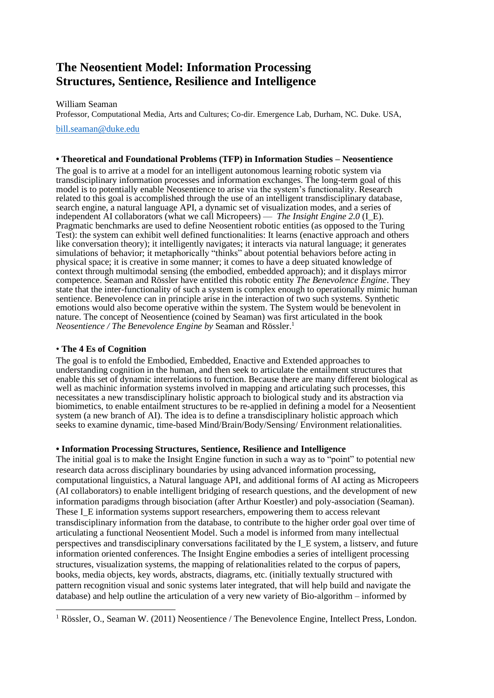# **The Neosentient Model: Information Processing Structures, Sentience, Resilience and Intelligence**

William Seaman

Professor, Computational Media, Arts and Cultures; Co-dir. Emergence Lab, Durham, NC. Duke. USA,

[bill.seaman@duke.edu](mailto:bill.seaman@duke.edu)

# **• Theoretical and Foundational Problems (TFP) in Information Studies – Neosentience**

The goal is to arrive at a model for an intelligent autonomous learning robotic system via transdisciplinary information processes and information exchanges. The long-term goal of this model is to potentially enable Neosentience to arise via the system's functionality. Research related to this goal is accomplished through the use of an intelligent transdisciplinary database, search engine, a natural language API, a dynamic set of visualization modes, and a series of independent AI collaborators (what we call Micropeers) — *The Insight Engine 2.0* (I\_E). Pragmatic benchmarks are used to define Neosentient robotic entities (as opposed to the Turing Test): the system can exhibit well defined functionalities: It learns (enactive approach and others like conversation theory); it intelligently navigates; it interacts via natural language; it generates simulations of behavior; it metaphorically "thinks" about potential behaviors before acting in physical space; it is creative in some manner; it comes to have a deep situated knowledge of context through multimodal sensing (the embodied, embedded approach); and it displays mirror competence. Seaman and Rössler have entitled this robotic entity *The Benevolence Engine*. They state that the inter-functionality of such a system is complex enough to operationally mimic human sentience. Benevolence can in principle arise in the interaction of two such systems. Synthetic emotions would also become operative within the system. The System would be benevolent in nature. The concept of Neosentience (coined by Seaman) was first articulated in the book *Neosentience / The Benevolence Engine by* Seaman and Rössler.<sup>1</sup>

# • **The 4 Es of Cognition**

The goal is to enfold the Embodied, Embedded, Enactive and Extended approaches to understanding cognition in the human, and then seek to articulate the entailment structures that enable this set of dynamic interrelations to function. Because there are many different biological as well as machinic information systems involved in mapping and articulating such processes, this necessitates a new transdisciplinary holistic approach to biological study and its abstraction via biomimetics, to enable entailment structures to be re-applied in defining a model for a Neosentient system (a new branch of AI). The idea is to define a transdisciplinary holistic approach which seeks to examine dynamic, time-based Mind/Brain/Body/Sensing/ Environment relationalities.

#### **• Information Processing Structures, Sentience, Resilience and Intelligence**

The initial goal is to make the Insight Engine function in such a way as to "point" to potential new research data across disciplinary boundaries by using advanced information processing, computational linguistics, a Natural language API, and additional forms of AI acting as Micropeers (AI collaborators) to enable intelligent bridging of research questions, and the development of new information paradigms through bisociation (after Arthur Koestler) and poly-association (Seaman). These I\_E information systems support researchers, empowering them to access relevant transdisciplinary information from the database, to contribute to the higher order goal over time of articulating a functional Neosentient Model. Such a model is informed from many intellectual perspectives and transdisciplinary conversations facilitated by the I\_E system, a listserv, and future information oriented conferences. The Insight Engine embodies a series of intelligent processing structures, visualization systems, the mapping of relationalities related to the corpus of papers, books, media objects, key words, abstracts, diagrams, etc. (initially textually structured with pattern recognition visual and sonic systems later integrated, that will help build and navigate the database) and help outline the articulation of a very new variety of Bio-algorithm – informed by

<sup>1</sup> Rössler, O., Seaman W. (2011) Neosentience / The Benevolence Engine, Intellect Press, London.